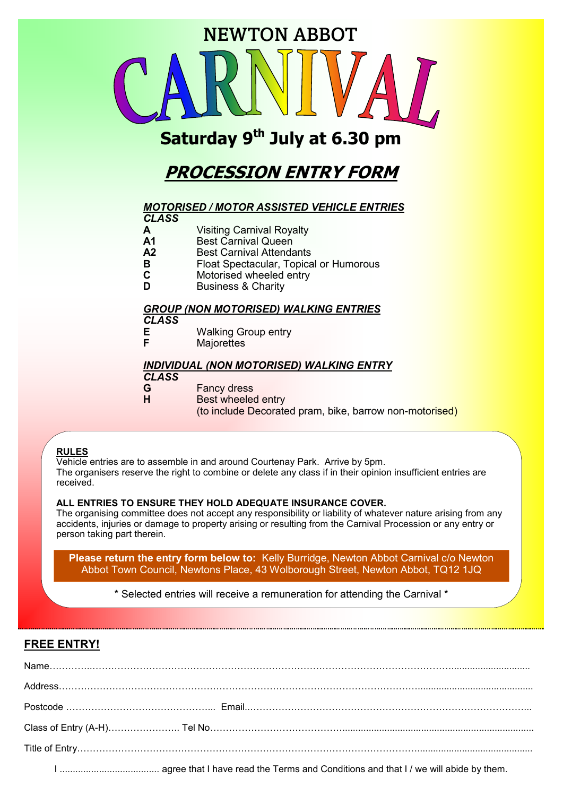

# **Saturday 9th July at 6.30 pm**

# **PROCESSION ENTRY FORM**

## *MOTORISED / MOTOR ASSISTED VEHICLE ENTRIES*

| <b>CLASS</b>                                 |                                        |  |  |  |
|----------------------------------------------|----------------------------------------|--|--|--|
| A                                            | <b>Visiting Carnival Royalty</b>       |  |  |  |
| A <sub>1</sub>                               | <b>Best Carnival Queen</b>             |  |  |  |
| A2                                           | <b>Best Carnival Attendants</b>        |  |  |  |
| в                                            | Float Spectacular, Topical or Humorous |  |  |  |
| C                                            | Motorised wheeled entry                |  |  |  |
| D                                            | <b>Business &amp; Charity</b>          |  |  |  |
|                                              |                                        |  |  |  |
| <b>GROUP (NON MOTORISED) WALKING ENTRIES</b> |                                        |  |  |  |

## *CLASS*

- **E** Walking Group entry
- **Majorettes**

## *INDIVIDUAL (NON MOTORISED) WALKING ENTRY*

#### *CLASS*

- 
- **G** Fancy dress<br>**H** Best wheeled **Best wheeled entry**

(to include Decorated pram, bike, barrow non-motorised)

### **RULES**

Vehicle entries are to assemble in and around Courtenay Park. Arrive by 5pm. The organisers reserve the right to combine or delete any class if in their opinion insufficient entries are received.

### **ALL ENTRIES TO ENSURE THEY HOLD ADEQUATE INSURANCE COVER.**

The organising committee does not accept any responsibility or liability of whatever nature arising from any accidents, injuries or damage to property arising or resulting from the Carnival Procession or any entry or person taking part therein.

**Please return the entry form below to:** Kelly Burridge, Newton Abbot Carnival c/o Newton Abbot Town Council, Newtons Place, 43 Wolborough Street, Newton Abbot, TQ12 1JQ

\* Selected entries will receive a remuneration for attending the Carnival \*

# **FREE ENTRY!**

| $Name. \label{def:1} \textbf{Name} \textbf{.} \textbf{.} \textbf{.} \textbf{.} \textbf{.} \textbf{.} \textbf{.} \textbf{.} \textbf{.} \textbf{.} \textbf{.} \textbf{.} \textbf{.} \textbf{.} \textbf{.} \textbf{.} \textbf{.} \textbf{.} \textbf{.} \textbf{.} \textbf{.} \textbf{.} \textbf{.} \textbf{.} \textbf{.} \textbf{.} \textbf{.} \textbf{.} \textbf{.} \textbf{.} \textbf{.} \textbf{.} \textbf{.} \textbf{.} \$ |  |  |
|-----------------------------------------------------------------------------------------------------------------------------------------------------------------------------------------------------------------------------------------------------------------------------------------------------------------------------------------------------------------------------------------------------------------------------|--|--|
|                                                                                                                                                                                                                                                                                                                                                                                                                             |  |  |
|                                                                                                                                                                                                                                                                                                                                                                                                                             |  |  |
|                                                                                                                                                                                                                                                                                                                                                                                                                             |  |  |
|                                                                                                                                                                                                                                                                                                                                                                                                                             |  |  |
|                                                                                                                                                                                                                                                                                                                                                                                                                             |  |  |